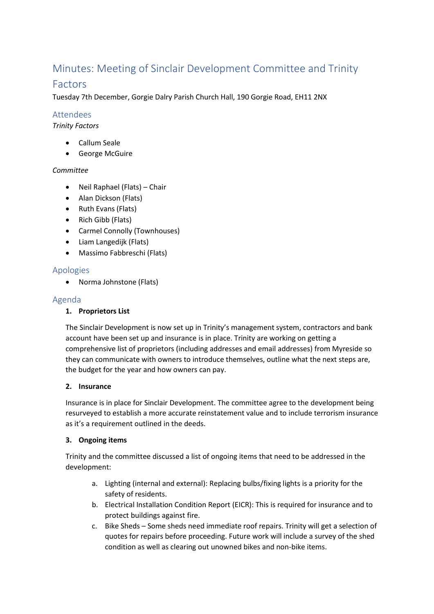# Minutes: Meeting of Sinclair Development Committee and Trinity

# Factors

Tuesday 7th December, Gorgie Dalry Parish Church Hall, 190 Gorgie Road, EH11 2NX

## Attendees

*Trinity Factors*

- Callum Seale
- George McGuire

#### *Committee*

- Neil Raphael (Flats) Chair
- Alan Dickson (Flats)
- Ruth Evans (Flats)
- Rich Gibb (Flats)
- Carmel Connolly (Townhouses)
- Liam Langedijk (Flats)
- Massimo Fabbreschi (Flats)

#### Apologies

• Norma Johnstone (Flats)

### Agenda

#### **1. Proprietors List**

The Sinclair Development is now set up in Trinity's management system, contractors and bank account have been set up and insurance is in place. Trinity are working on getting a comprehensive list of proprietors (including addresses and email addresses) from Myreside so they can communicate with owners to introduce themselves, outline what the next steps are, the budget for the year and how owners can pay.

#### **2. Insurance**

Insurance is in place for Sinclair Development. The committee agree to the development being resurveyed to establish a more accurate reinstatement value and to include terrorism insurance as it's a requirement outlined in the deeds.

#### **3. Ongoing items**

Trinity and the committee discussed a list of ongoing items that need to be addressed in the development:

- a. Lighting (internal and external): Replacing bulbs/fixing lights is a priority for the safety of residents.
- b. Electrical Installation Condition Report (EICR): This is required for insurance and to protect buildings against fire.
- c. Bike Sheds Some sheds need immediate roof repairs. Trinity will get a selection of quotes for repairs before proceeding. Future work will include a survey of the shed condition as well as clearing out unowned bikes and non-bike items.